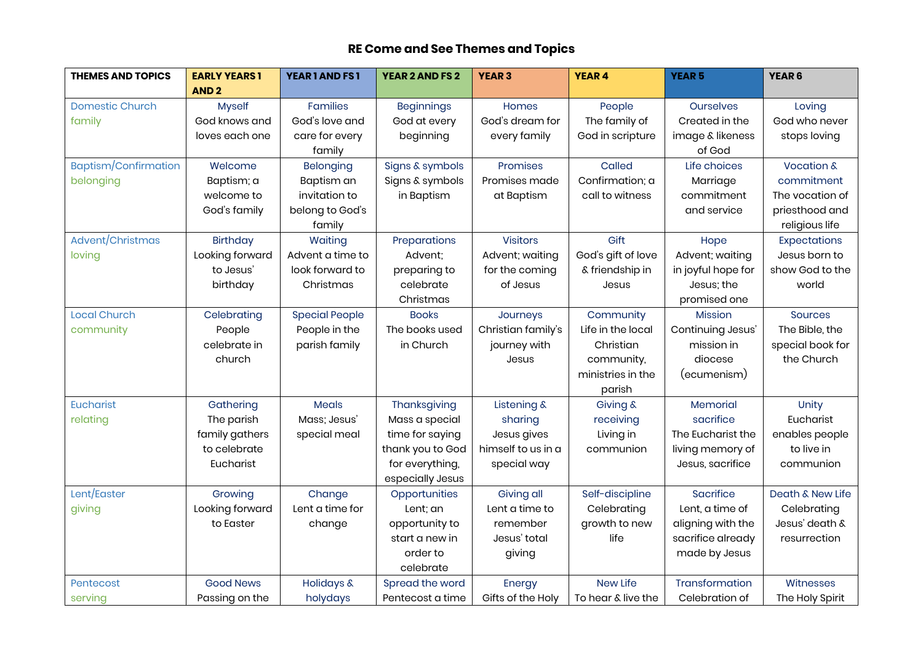## **RE Come and See Themes and Topics**

| <b>THEMES AND TOPICS</b>    | <b>EARLY YEARS 1</b> | YEAR 1 AND FS 1       | <b>YEAR 2 AND FS 2</b> | <b>YEAR 3</b>      | <b>YEAR4</b>       | <b>YEAR 5</b>            | YEAR <sub>6</sub> |
|-----------------------------|----------------------|-----------------------|------------------------|--------------------|--------------------|--------------------------|-------------------|
|                             | AND <sub>2</sub>     |                       |                        |                    |                    |                          |                   |
| <b>Domestic Church</b>      | <b>Myself</b>        | <b>Families</b>       | Beginnings             | <b>Homes</b>       | People             | <b>Ourselves</b>         | Loving            |
| family                      | God knows and        | God's love and        | God at every           | God's dream for    | The family of      | Created in the           | God who never     |
|                             | loves each one       | care for every        | beginning              | every family       | God in scripture   | image & likeness         | stops loving      |
|                             |                      | family                |                        |                    |                    | of God                   |                   |
| <b>Baptism/Confirmation</b> | Welcome              | Belonging             | Signs & symbols        | Promises           | Called             | Life choices             | Vocation &        |
| belonging                   | Baptism; a           | Baptism an            | Signs & symbols        | Promises made      | Confirmation; a    | Marriage                 | commitment        |
|                             | welcome to           | invitation to         | in Baptism             | at Baptism         | call to witness    | commitment               | The vocation of   |
|                             | God's family         | belong to God's       |                        |                    |                    | and service              | priesthood and    |
|                             |                      | family                |                        |                    |                    |                          | religious life    |
| Advent/Christmas            | Birthday             | Waiting               | Preparations           | <b>Visitors</b>    | Gift               | Hope                     | Expectations      |
| loving                      | Looking forward      | Advent a time to      | Advent:                | Advent; waiting    | God's gift of love | Advent; waiting          | Jesus born to     |
|                             | to Jesus'            | look forward to       | preparing to           | for the coming     | & friendship in    | in joyful hope for       | show God to the   |
|                             | birthday             | Christmas             | celebrate              | of Jesus           | Jesus              | Jesus; the               | world             |
|                             |                      |                       | Christmas              |                    |                    | promised one             |                   |
| <b>Local Church</b>         | Celebrating          | <b>Special People</b> | <b>Books</b>           | Journeys           | Community          | Mission                  | Sources           |
| community                   | People               | People in the         | The books used         | Christian family's | Life in the local  | <b>Continuing Jesus'</b> | The Bible, the    |
|                             | celebrate in         | parish family         | in Church              | journey with       | Christian          | mission in               | special book for  |
|                             | church               |                       |                        | Jesus              | community,         | diocese                  | the Church        |
|                             |                      |                       |                        |                    | ministries in the  | (ecumenism)              |                   |
|                             |                      |                       |                        |                    | parish             |                          |                   |
| <b>Eucharist</b>            | Gathering            | <b>Meals</b>          | Thanksgiving           | Listening &        | Giving &           | Memorial                 | Unity             |
| relating                    | The parish           | Mass; Jesus'          | Mass a special         | sharing            | receiving          | sacrifice                | Eucharist         |
|                             | family gathers       | special meal          | time for saying        | Jesus gives        | Living in          | The Eucharist the        | enables people    |
|                             | to celebrate         |                       | thank you to God       | himself to us in a | communion          | living memory of         | to live in        |
|                             | Eucharist            |                       | for everything,        | special way        |                    | Jesus, sacrifice         | communion         |
|                             |                      |                       | especially Jesus       |                    |                    |                          |                   |
| Lent/Easter                 | Growing              | Change                | Opportunities          | Giving all         | Self-discipline    | Sacrifice                | Death & New Life  |
| giving                      | Looking forward      | Lent a time for       | Lent; an               | Lent a time to     | Celebrating        | Lent, a time of          | Celebrating       |
|                             | to Easter            | change                | opportunity to         | remember           | growth to new      | aligning with the        | Jesus' death &    |
|                             |                      |                       | start a new in         | Jesus' total       | life               | sacrifice already        | resurrection      |
|                             |                      |                       | order to               | giving             |                    | made by Jesus            |                   |
|                             |                      |                       | celebrate              |                    |                    |                          |                   |
| Pentecost                   | <b>Good News</b>     | Holidays &            | Spread the word        | Energy             | <b>New Life</b>    | Transformation           | Witnesses         |
| serving                     | Passing on the       | holydays              | Pentecost a time       | Gifts of the Holy  | To hear & live the | Celebration of           | The Holy Spirit   |